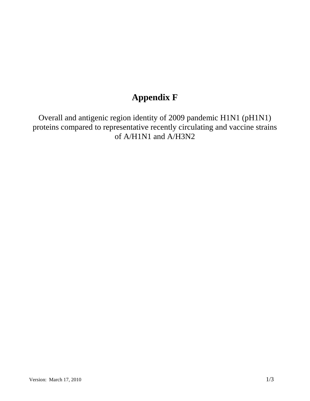# **Appendix F**

Overall and antigenic region identity of 2009 pandemic H1N1 (pH1N1) proteins compared to representative recently circulating and vaccine strains of A/H1N1 and A/H3N2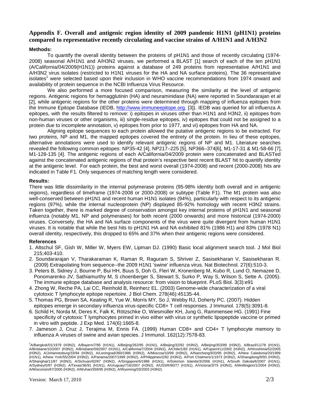## **Appendix F. Overall and antigenic region identity of 2009 pandemic H1N1 (pH1N1) proteins compared to representative recently circulating and vaccine strains of A/H1N1 and A/H3N2**

#### **Methods:**

To quantify the overall identity between the proteins of pH1N1 and those of recently circulating (1974- 2008) seasonal A/H1N1 and A/H3N2 viruses, we performed a BLAST [1] search of each of the ten pH1N1 (A/California/04/2009(H1N1)) proteins against a database of 249 proteins from representative A/H1N1 and A/H3N2 virus isolates (restricted to H1N1 viruses for the HA and NA surface proteins). The 36 representative isolates<sup>1</sup> were selected based upon their inclusion in WHO vaccine recommendations from 1974 onward and availability of protein sequence in the NCBI Influenza Virus Resource.

We also performed a more focused comparison, measuring the similarity at the level of antigenic regions. Antigenic regions for hemagglutinin (HA) and neuraminidase (NA) were reported in Soundararajan et al [2], while antigenic regions for the other proteins were determined through mapping of influenza epitopes from the Immune Epitope Database (IEDB, http://www.immuneepitope.org, [3]). IEDB was queried for all influenza A epitopes, with the results filtered to remove: i) epitopes in viruses other than H1N1 and H3N2, ii) epitopes from non-human viruses or other organisms, iii) single-residue epitopes, iv) epitopes that could not be assigned to a protein due to incomplete annotation, v) epitopes from prior to 1977, and vi) epitopes from HA and NA.

Aligning epitope sequences to each protein allowed the putative antigenic regions to be extracted. For two proteins, NP and M1, the mapped epitopes covered the entirety of the protein. In lieu of these epitopes, alternative annotations were used to identify relevant antigenic regions of NP and M1. Literature searches revealed the following common epitopes: NP35-42 [4], NP217–225 [5], NP366–374[6], M1-17-31 & M1-58-66 [7], M1-128-135 [4]. The antigenic regions of each A/California/04/2009 protein were concatenated and BLASTed against the concatenated antigenic regions of that protein's respective best recent BLAST hit to quantify identity at the antigenic level. For each protein, the best and worst overall (1974-2008) and recent (2000-2008) hits are indicated in Table F1. Only sequences of matching length were considered.

#### **Results:**

There was little dissimilarity in the internal polymerase proteins (95-98% identity both overall and in antigenic regions), regardless of timeframe (1974-2008 or 2000-2008) or subtype (Table F1). The M1 protein was also well-conserved between pH1N1 and recent human H1N1 isolates (94%), particularly with respect to its antigenic regions (97%), while the internal nucleoprotein (NP) displayed 85-92% homology with recent H3N2 strains. Taken together, there is marked degree of conservation amongst key internal proteins of pH1N1 and seasonal influenza (notably M1, NP and polymerases) for both recent (2000 onwards) and more historical (1974-2000) viruses. Conversely, the HA and NA surface components of the virus were quite divergent from human H1N1 viruses. It is notable that while the best hits to pH1N1 HA and NA exhibited 81% (1986 H1) and 83% (1978 N1) overall identity, respectively, this dropped to 65% and 37% when their antigenic regions were considered.

#### **References**

- 1. Altschul SF, Gish W, Miller W, Myers EW, Lipman DJ. (1990) Basic local alignment search tool. J Mol Biol 215;403-410.
- 2. Soundararajan V, Tharakaraman K, Raman R, Raguram S, Shriver Z, Sasisekharan V, Sasisekharan R. (2009) Extrapolating from sequence--the 2009 H1N1 'swine' influenza virus. Nat Biotechnol. 27(6):510-3.
- 3. Peters B, Sidney J, Bourne P, Bui HH, Buus S, Doh G, Fleri W, Kronenberg M, Kubo R, Lund O, Nemazee D, Ponomarenko JV, Sathiamurthy M, S choenberger S, Stewart S, Surko P, Way S, Wilson S, Sette A. (2005). The immune epitope database and analysis resource: from vision to blueprint. PLoS Biol. 3(3):e91
- 4. Zhong W, Reche PA, Lai CC, Reinhold B, Reinherz EL. (2003) Genome-wide characterization of a viral cytotoxic T lymphocyte epitope repertoire. J Biol Chem. 278(46):45135-44.
- 5. Thomas PG, Brown SA, Keating R, Yue W, Morris MY, So J, Webby RJ, Doherty PC. (2007). Hidden epitopes emerge in secondary influenza virus-specific CD8+ T cell responses. J Immunol. 178(5):3091-8.
- 6. Schild H, Norda M, Deres K, Falk K, Rötzschke O, Wiesmüller KH, Jung G, Rammensee HG. (1991) Fine specificity of cytotoxic T lymphocytes primed in vivo either with virus or synthetic lipopeptide vaccine or primed in vitro with peptide. J Exp Med. 174(6):1665-8.
- 7. Jameson J, Cruz J, Terajima M, Ennis FA. (1999) Human CD8+ and CD4+ T lymphocyte memory to influenza A viruses of swine and avian species. J Immunol. 162(12):7578-83.

<sup>1</sup>A/Bangkok/01/1979 (H3N2), A/Bayern/7/95 (H1N1), A/Beijing/262/95 (H1N1), A/Beijing/32/92 (H3N2), A/Beijing/353/89 (H3N2), A/Brazil/11/78 (H1N1), A/Brisbane/10/2007 (H3N2), A/Brisbane/59/2007 (H1N1), A/California/7/2004 (H3N2), A/Chile/1/83 (H1N1), A/Fujian/411/2002 (H3N2), A/Hiroshima/52/2005 (H3N2), A/Johannesburg/33/94 (H3N2), A/Leningrad/360/1986 (H3N2), A/Moscow/10/99 (H3N2), A/Nanchang/933/95 (H3N2), A/New Caledonia/20/1999 (H1N1), A/New York/55/2004 (H3N2), A/Panama/2007/1999 (H3N2), A/Philippines/2/82 (H3N2), A/Port Chalmers/1/1973 (H3N2), A/Shangdong/9/93 (H3N2), A/Shanghai/11/87 (H3N2), A/Sichuan/02/87 (H3N2), A/Singapore/6/1986 (H1N1), A/Solomon Islands/3/2006 (H1N1), A/South Dakota/6/2007 (H1N1), A/Sydney/5/97 (H3N2), A/Texas/36/91 (H1N1), A/Uruguay/716/2007 (H3N2), A/USSR/90/77 (H1N1), A/Victoria/3/75 (H3N2), A/Wellington/1/2004 (H3N2), A/Wisconsin/67/2005 (H3N2), A/Wuhan/359/95 (H3N2), A/Wyoming/03/2003 (H3N2).